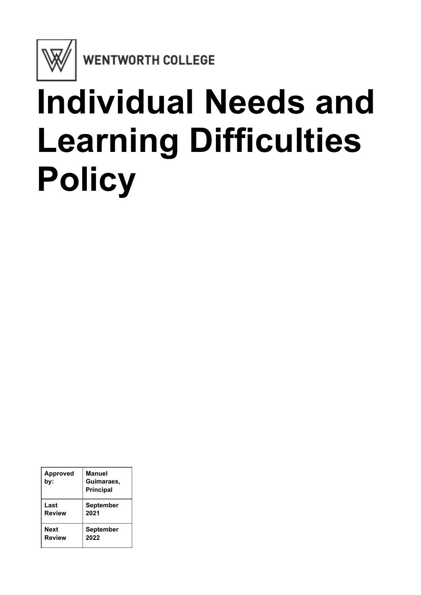

WENTWORTH COLLEGE

# **Individual Needs and Learning Difficulties Policy**

| <b>Approved</b><br>bv: | Manuel<br>Guimaraes,<br><b>Principal</b> |
|------------------------|------------------------------------------|
| Last                   | <b>September</b>                         |
| <b>Review</b>          | 2021                                     |
| <b>Next</b>            | <b>September</b>                         |
| <b>Review</b>          | 2022                                     |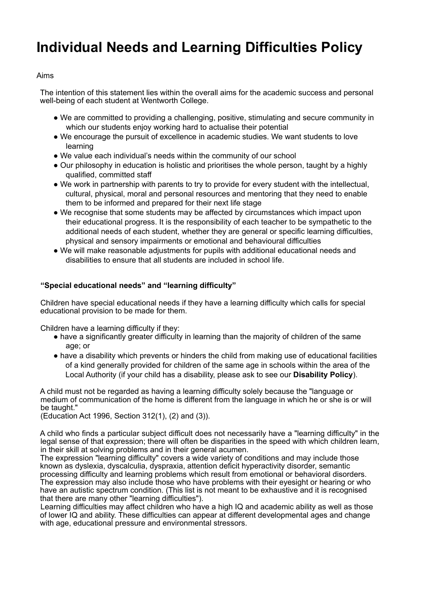# **Individual Needs and Learning Difficulties Policy**

## Aims

The intention of this statement lies within the overall aims for the academic success and personal well-being of each student at Wentworth College.

- We are committed to providing a challenging, positive, stimulating and secure community in which our students enjoy working hard to actualise their potential
- We encourage the pursuit of excellence in academic studies. We want students to love learning
- We value each individual's needs within the community of our school
- Our philosophy in education is holistic and prioritises the whole person, taught by a highly qualified, committed staff
- We work in partnership with parents to try to provide for every student with the intellectual, cultural, physical, moral and personal resources and mentoring that they need to enable them to be informed and prepared for their next life stage
- We recognise that some students may be affected by circumstances which impact upon their educational progress. It is the responsibility of each teacher to be sympathetic to the additional needs of each student, whether they are general or specific learning difficulties, physical and sensory impairments or emotional and behavioural difficulties
- We will make reasonable adjustments for pupils with additional educational needs and disabilities to ensure that all students are included in school life.

### **"Special educational needs" and "learning difficulty"**

Children have special educational needs if they have a learning difficulty which calls for special educational provision to be made for them.

Children have a learning difficulty if they:

- have a significantly greater difficulty in learning than the majority of children of the same age; or
- have a disability which prevents or hinders the child from making use of educational facilities of a kind generally provided for children of the same age in schools within the area of the Local Authority (if your child has a disability, please ask to see our **Disability Policy**).

A child must not be regarded as having a learning difficulty solely because the "language or medium of communication of the home is different from the language in which he or she is or will be taught."

(Education Act 1996, Section 312(1), (2) and (3)).

A child who finds a particular subject difficult does not necessarily have a "learning difficulty" in the legal sense of that expression; there will often be disparities in the speed with which children learn, in their skill at solving problems and in their general acumen.

The expression "learning difficulty" covers a wide variety of conditions and may include those known as dyslexia, dyscalculia, dyspraxia, attention deficit hyperactivity disorder, semantic processing difficulty and learning problems which result from emotional or behavioral disorders. The expression may also include those who have problems with their eyesight or hearing or who have an autistic spectrum condition. (This list is not meant to be exhaustive and it is recognised that there are many other "learning difficulties").

Learning difficulties may affect children who have a high IQ and academic ability as well as those of lower IQ and ability. These difficulties can appear at different developmental ages and change with age, educational pressure and environmental stressors.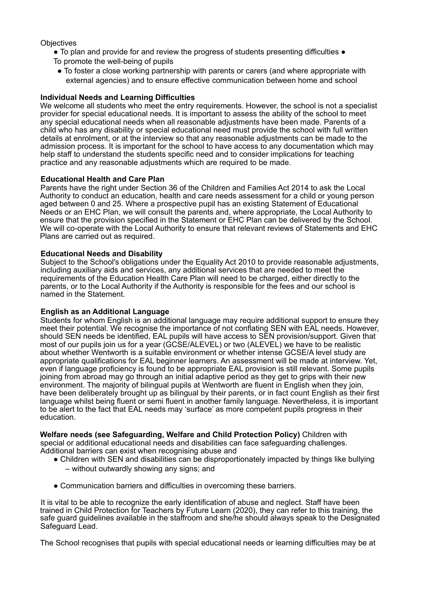**Objectives** 

- To plan and provide for and review the progress of students presenting difficulties To promote the well-being of pupils
- To foster a close working partnership with parents or carers (and where appropriate with external agencies) and to ensure effective communication between home and school

#### **Individual Needs and Learning Difficulties**

We welcome all students who meet the entry requirements. However, the school is not a specialist provider for special educational needs. It is important to assess the ability of the school to meet any special educational needs when all reasonable adjustments have been made. Parents of a child who has any disability or special educational need must provide the school with full written details at enrolment, or at the interview so that any reasonable adjustments can be made to the admission process. It is important for the school to have access to any documentation which may help staff to understand the students specific need and to consider implications for teaching practice and any reasonable adjustments which are required to be made.

#### **Educational Health and Care Plan**

Parents have the right under Section 36 of the Children and Families Act 2014 to ask the Local Authority to conduct an education, health and care needs assessment for a child or young person aged between 0 and 25. Where a prospective pupil has an existing Statement of Educational Needs or an EHC Plan, we will consult the parents and, where appropriate, the Local Authority to ensure that the provision specified in the Statement or EHC Plan can be delivered by the School. We will co-operate with the Local Authority to ensure that relevant reviews of Statements and EHC Plans are carried out as required.

#### **Educational Needs and Disability**

Subject to the School's obligations under the Equality Act 2010 to provide reasonable adjustments, including auxiliary aids and services, any additional services that are needed to meet the requirements of the Education Health Care Plan will need to be charged, either directly to the parents, or to the Local Authority if the Authority is responsible for the fees and our school is named in the Statement.

#### **English as an Additional Language**

Students for whom English is an additional language may require additional support to ensure they meet their potential. We recognise the importance of not conflating SEN with EAL needs. However, should SEN needs be identified, EAL pupils will have access to SEN provision/support. Given that most of our pupils join us for a year (GCSE/ALEVEL) or two (ALEVEL) we have to be realistic about whether Wentworth is a suitable environment or whether intense GCSE/A level study are appropriate qualifications for EAL beginner learners. An assessment will be made at interview. Yet, even if language proficiency is found to be appropriate EAL provision is still relevant. Some pupils joining from abroad may go through an initial adaptive period as they get to grips with their new environment. The majority of bilingual pupils at Wentworth are fluent in English when they join, have been deliberately brought up as bilingual by their parents, or in fact count English as their first language whilst being fluent or semi fluent in another family language. Nevertheless, it is important to be alert to the fact that EAL needs may 'surface' as more competent pupils progress in their education.

**Welfare needs (see Safeguarding, Welfare and Child Protection Policy)** Children with special or additional educational needs and disabilities can face safeguarding challenges. Additional barriers can exist when recognising abuse and

- Children with SEN and disabilities can be disproportionately impacted by things like bullying – without outwardly showing any signs; and
- Communication barriers and difficulties in overcoming these barriers.

It is vital to be able to recognize the early identification of abuse and neglect. Staff have been trained in Child Protection for Teachers by Future Learn (2020), they can refer to this training, the safe guard guidelines available in the staffroom and she/he should always speak to the Designated Safeguard Lead.

The School recognises that pupils with special educational needs or learning difficulties may be at